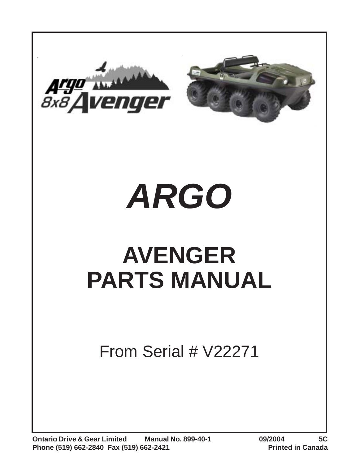



# *ARGO*

## **AVENGER PARTS MANUAL**

From Serial # V22271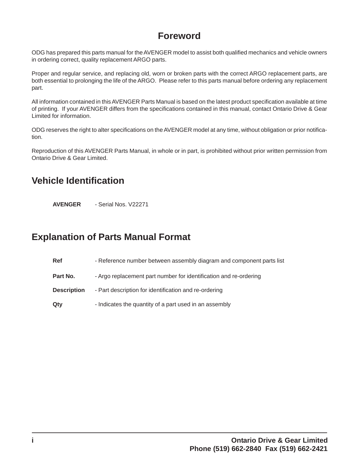#### **Foreword**

ODG has prepared this parts manual for the AVENGER model to assist both qualified mechanics and vehicle owners in ordering correct, quality replacement ARGO parts.

Proper and regular service, and replacing old, worn or broken parts with the correct ARGO replacement parts, are both essential to prolonging the life of the ARGO. Please refer to this parts manual before ordering any replacement part.

All information contained in this AVENGER Parts Manual is based on the latest product specification available at time of printing. If your AVENGER differs from the specifications contained in this manual, contact Ontario Drive & Gear Limited for information.

ODG reserves the right to alter specifications on the AVENGER model at any time, without obligation or prior notification.

Reproduction of this AVENGER Parts Manual, in whole or in part, is prohibited without prior written permission from Ontario Drive & Gear Limited.

#### **Vehicle Identification**

**AVENGER** - Serial Nos. V22271

#### **Explanation of Parts Manual Format**

**Ref** - Reference number between assembly diagram and component parts list

Part No. **-** Argo replacement part number for identification and re-ordering

**Description** - Part description for identification and re-ordering

**Qty** - Indicates the quantity of a part used in an assembly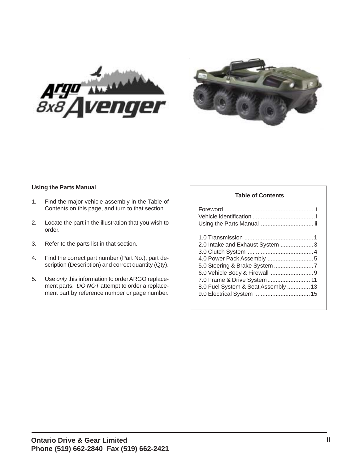



#### **Using the Parts Manual**

- 1. Find the major vehicle assembly in the Table of Contents on this page, and turn to that section.
- 2. Locate the part in the illustration that you wish to order.
- 3. Refer to the parts list in that section.
- 4. Find the correct part number (Part No.), part description (Description) and correct quantity (Qty).
- 5. Use *only* this information to order ARGO replacement parts. *DO NOT* attempt to order a replacement part by reference number or page number.

#### **Table of Contents**

| 2.0 Intake and Exhaust System 3     |  |
|-------------------------------------|--|
|                                     |  |
|                                     |  |
|                                     |  |
|                                     |  |
| 7.0 Frame & Drive System 11         |  |
| 8.0 Fuel System & Seat Assembly  13 |  |
|                                     |  |
|                                     |  |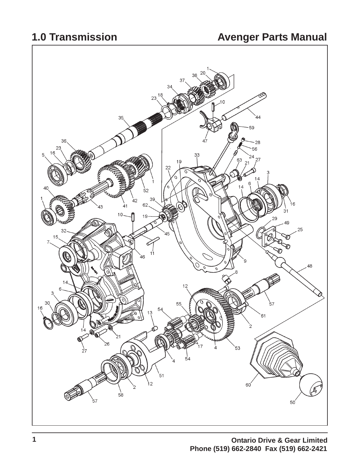### **1.0 Transmission Avenger Parts Manual**

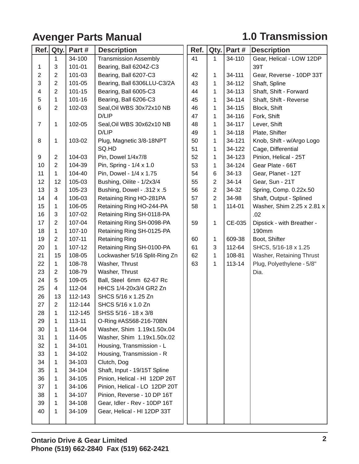### **1.0 Transmission Avenger Parts Manual**

| Ref.                     | Qty.                     | Part #  | <b>Description</b>            | Ref. | Qty.           | Part #    | <b>Description</b>         |
|--------------------------|--------------------------|---------|-------------------------------|------|----------------|-----------|----------------------------|
|                          | 1                        | 34-100  | <b>Transmission Assembly</b>  | 41   | 1              | 34-110    | Gear, Helical - LOW 12DP   |
| 1                        | 3                        | 101-01  | Bearing, Ball 6204Z-C3        |      |                |           | 39T                        |
| $\mathbf{2}$             | $\overline{2}$           | 101-03  | Bearing, Ball 6207-C3         | 42   | $\mathbf{1}$   | 34-111    | Gear, Reverse - 10DP 33T   |
| 3                        | $\overline{2}$           | 101-05  | Bearing, Ball 6306LLU-C3/2A   | 43   | 1              | 34-112    | Shaft, Spline              |
| $\overline{\mathcal{A}}$ | 2                        | 101-15  | Bearing, Ball 6005-C3         | 44   | 1              | 34-113    | Shaft, Shift - Forward     |
| 5                        | 1                        | 101-16  | Bearing, Ball 6206-C3         | 45   | 1              | 34-114    | Shaft, Shift - Reverse     |
| 6                        | $\overline{2}$           | 102-03  | Seal, Oil WBS 30x72x10 NB     | 46   | 1              | 34-115    | Block, Shift               |
|                          |                          |         | D/LIP                         | 47   | 1              | 34-116    | Fork, Shift                |
| $\overline{7}$           | 1                        | 102-05  | Seal, Oil WBS 30x62x10 NB     | 48   | 1              | 34-117    | Lever, Shift               |
|                          |                          |         | D/LIP                         | 49   | 1              | 34-118    | Plate, Shifter             |
| 8                        | 1                        | 103-02  | Plug, Magnetic 3/8-18NPT      | 50   | 1              | 34-121    | Knob, Shift - w/Argo Logo  |
|                          |                          |         | SQ.HD                         | 51   | 1              | 34-122    | Cage, Differential         |
| 9                        | $\overline{2}$           | 104-03  | Pin, Dowel 1/4x7/8            | 52   | 1              | 34-123    | Pinion, Helical - 25T      |
| 10                       | $\overline{2}$           | 104-39  | Pin, Spring - 1/4 x 1.0       | 53   | 1              | 34-124    | Gear Plate - 66T           |
| 11                       | 1                        | 104-40  | Pin, Dowel - 1/4 x 1.75       | 54   | 6              | $34-13$   | Gear, Planet - 12T         |
| 12                       | 12                       | 105-03  | Bushing, Oilite - 1/2x3/4     | 55   | $\overline{2}$ | $34 - 14$ | Gear, Sun - 21T            |
| 13                       | 3                        | 105-23  | Bushing, Dowel - .312 x .5    | 56   | $\overline{c}$ | 34-32     | Spring, Comp. 0.22x.50     |
| 14                       | $\overline{\mathcal{A}}$ | 106-03  | Retaining Ring HO-281PA       | 57   | $\overline{2}$ | 34-98     | Shaft, Output - Splined    |
| 15                       | 1                        | 106-05  | Retaining Ring HO-244-PA      | 58   | $\mathbf{1}$   | 114-01    | Washer, Shim 2.25 x 2.81 x |
| 16                       | 3                        | 107-02  | Retaining Ring SH-0118-PA     |      |                |           | .02                        |
| 17                       | $\overline{2}$           | 107-04  | Retaining Ring SH-0098-PA     | 59   | $\mathbf{1}$   | CE-035    | Dipstick - with Breather - |
| 18                       | $\mathbf{1}$             | 107-10  | Retaining Ring SH-0125-PA     |      |                |           | 190mm                      |
| 19                       | $\overline{2}$           | 107-11  | <b>Retaining Ring</b>         | 60   | 1              | 609-38    | Boot, Shifter              |
| 20                       | 1                        | 107-12  | Retaining Ring SH-0100-PA     | 61   | 3              | 112-64    | SHCS, 5/16-18 x 1.25       |
| 21                       | 15                       | 108-05  | Lockwasher 5/16 Split-Ring Zn | 62   | 1              | 108-81    | Washer, Retaining Thrust   |
| 22                       | 1                        | 108-78  | Washer, Thrust                | 63   | 1              | 113-14    | Plug, Polyethylene - 5/8"  |
| 23                       | $\overline{2}$           | 108-79  | Washer, Thrust                |      |                |           | Dia.                       |
| 24                       | 5                        | 109-05  | Ball, Steel 6mm 62-67 Rc      |      |                |           |                            |
| 25                       | 4                        | 112-04  | HHCS 1/4-20x3/4 GR2 Zn        |      |                |           |                            |
| 26                       | 13                       | 112-143 | SHCS 5/16 x 1.25 Zn           |      |                |           |                            |
| 27                       | $\overline{2}$           | 112-144 | SHCS 5/16 x 1.0 Zn            |      |                |           |                            |
| 28                       | 1                        | 112-145 | SHSS 5/16 - 18 x 3/8          |      |                |           |                            |
| 29                       | 1                        | 113-11  | O-Ring #AS568-216-70BN        |      |                |           |                            |
| 30                       | 1                        | 114-04  | Washer, Shim 1.19x1.50x.04    |      |                |           |                            |
| 31                       | 1                        | 114-05  | Washer, Shim 1.19x1.50x.02    |      |                |           |                            |
| 32                       | 1                        | 34-101  | Housing, Transmission - L     |      |                |           |                            |
| 33                       | 1                        | 34-102  | Housing, Transmission - R     |      |                |           |                            |
| 34                       | 1                        | 34-103  | Clutch, Dog                   |      |                |           |                            |
| 35                       | 1                        | 34-104  | Shaft, Input - 19/15T Spline  |      |                |           |                            |
| 36                       | 1                        | 34-105  | Pinion, Helical - HI 12DP 26T |      |                |           |                            |
| 37                       | 1                        | 34-106  | Pinion, Helical - LO 12DP 20T |      |                |           |                            |
| 38                       | 1                        | 34-107  | Pinion, Reverse - 10 DP 16T   |      |                |           |                            |
| 39                       | 1                        | 34-108  | Gear, Idler - Rev - 10DP 16T  |      |                |           |                            |
| 40                       | 1                        | 34-109  | Gear, Helical - HI 12DP 33T   |      |                |           |                            |
|                          |                          |         |                               |      |                |           |                            |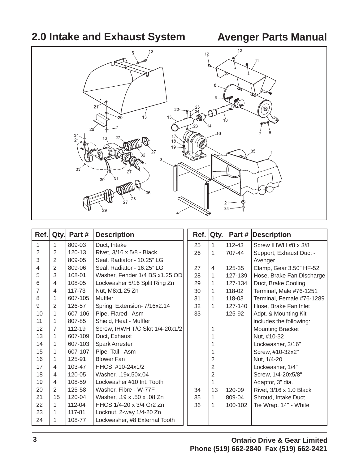### **2.0 Intake and Exhaust System**

#### **Avenger Parts Manual**



| Ref. | Qty.           | Part#      | <b>Description</b>              |    | Ref.   Qty. |         | <b>Part # Description</b> |
|------|----------------|------------|---------------------------------|----|-------------|---------|---------------------------|
| 1    | $\mathbf{1}$   | 809-03     | Duct, Intake                    | 25 | $\mathbf 1$ | 112-43  | Screw IHWH #8 x 3/8       |
| 2    | 2              | 120-13     | Rivet, 3/16 x 5/8 - Black       | 26 | 1           | 707-44  | Support, Exhaust Duct -   |
| 3    | $\overline{2}$ | 809-05     | Seal, Radiator - 10.25" LG      |    |             |         | Avenger                   |
| 4    | $\overline{2}$ | 809-06     | Seal, Radiator - 16.25" LG      | 27 | 4           | 125-35  | Clamp, Gear 3.50" HF-52   |
| 5    | 3              | 108-01     | Washer, Fender 1/4 BS x1.25 OD  | 28 | 1           | 127-139 | Hose, Brake Fan Discharge |
| 6    | 4              | 108-05     | Lockwasher 5/16 Split Ring Zn   | 29 | 1           | 127-134 | Duct, Brake Cooling       |
| 7    | $\overline{4}$ | 117-73     | Nut, M8x1.25 Zn                 | 30 | 1           | 118-02  | Terminal, Male #76-1251   |
| 8    | 1              | 607-105    | Muffler                         | 31 | 1           | 118-03  | Terminal, Female #76-1289 |
| 9    | $\overline{2}$ | 126-57     | Spring, Extension- 7/16x2.14    | 32 | 1           | 127-140 | Hose, Brake Fan Inlet     |
| 10   | $\mathbf{1}$   | 607-106    | Pipe, Flared - Asm              | 33 |             | 125-92  | Adpt. & Mounting Kit -    |
| 11   | 1              | 807-85     | Shield, Heat - Muffler          |    |             |         | includes the following:   |
| 12   | $\overline{7}$ | $112 - 19$ | Screw, IHWH T/C Slot 1/4-20x1/2 |    |             |         | <b>Mounting Bracket</b>   |
| 13   | 1              | 607-109    | Duct, Exhaust                   |    |             |         | Nut, #10-32               |
| 14   | 1              | 607-103    | <b>Spark Arrester</b>           |    |             |         | Lockwasher, 3/16"         |
| 15   | 1              | 607-107    | Pipe, Tail - Asm                |    |             |         | Screw, #10-32x2"          |
| 16   | 1              | 125-91     | <b>Blower Fan</b>               |    | 2           |         | Nut, 1/4-20               |
| 17   | $\overline{4}$ | 103-47     | HHCS, #10-24x1/2                |    | 2           |         | Lockwasher, 1/4"          |
| 18   | $\overline{4}$ | 120-05     | Washer, .19x.50x.04             |    | 2           |         | Screw, 1/4-20x5/8"        |
| 19   | $\overline{4}$ | 108-59     | Lockwasher #10 Int. Tooth       |    |             |         | Adaptor, 3" dia.          |
| 20   | 2              | 125-58     | Washer, Fibre - W-77F           | 34 | 13          | 120-09  | Rivet, 3/16 x 1.0 Black   |
| 21   | 15             | 120-04     | Washer, .19 x .50 x .08 Zn      | 35 | 1           | 809-04  | Shroud, Intake Duct       |
| 22   | 1              | 112-04     | HHCS 1/4-20 x 3/4 Gr2 Zn        | 36 | 1           | 100-102 | Tie Wrap, 14" - White     |
| 23   | 1              | 117-81     | Locknut, 2-way 1/4-20 Zn        |    |             |         |                           |
| 24   | 1              | 108-77     | Lockwasher, #8 External Tooth   |    |             |         |                           |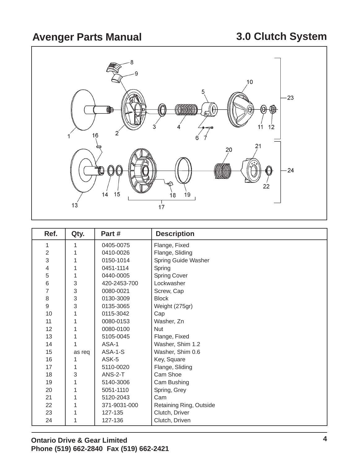### **Avenger Parts Manual 3.0 Clutch System**



| Ref.           | Qty.   | Part#        | <b>Description</b>      |
|----------------|--------|--------------|-------------------------|
| 1              | 1      | 0405-0075    | Flange, Fixed           |
| $\mathbf 2$    |        | 0410-0026    | Flange, Sliding         |
| 3              |        | 0150-1014    | Spring Guide Washer     |
| 4              |        | 0451-1114    | Spring                  |
| 5              | 1      | 0440-0005    | <b>Spring Cover</b>     |
| $\,$ 6 $\,$    | 3      | 420-2453-700 | Lockwasher              |
| $\overline{7}$ | 3      | 0080-0021    | Screw, Cap              |
| 8              | 3      | 0130-3009    | <b>Block</b>            |
| $\mathsf g$    | 3      | 0135-3065    | Weight (275gr)          |
| 10             | 1      | 0115-3042    | Cap                     |
| 11             | 1      | 0080-0153    | Washer, Zn              |
| 12             | 1      | 0080-0100    | <b>Nut</b>              |
| 13             | 1      | 5105-0045    | Flange, Fixed           |
| 14             | 1      | ASA-1        | Washer, Shim 1.2        |
| 15             | as req | ASA-1-S      | Washer, Shim 0.6        |
| 16             | 1      | ASK-5        | Key, Square             |
| 17             | 1      | 5110-0020    | Flange, Sliding         |
| 18             | 3      | $ANS-2-T$    | Cam Shoe                |
| 19             | 1      | 5140-3006    | Cam Bushing             |
| 20             | 1      | 5051-1110    | Spring, Grey            |
| 21             | 1      | 5120-2043    | Cam                     |
| 22             | 1      | 371-9031-000 | Retaining Ring, Outside |
| 23             | 1      | 127-135      | Clutch, Driver          |
| 24             | 1      | 127-136      | Clutch, Driven          |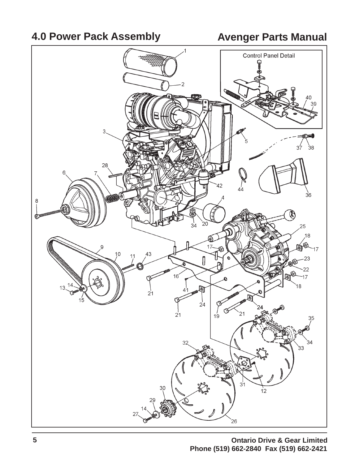#### **4.0 Power Pack Assembly Avenger Parts Manual**

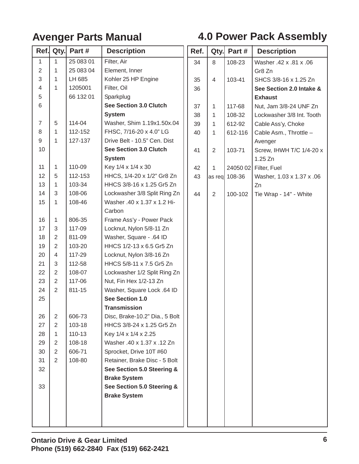### **Avenger Parts Manual 4.0 Power Pack Assembly**

| Ref.                     | Qty.           | Part#      | <b>Description</b>             | Ref. | Qty.           | Part #   | <b>Description</b>        |
|--------------------------|----------------|------------|--------------------------------|------|----------------|----------|---------------------------|
| 1                        | $\mathbf{1}$   | 25 083 01  | Filter, Air                    | 34   | 8              | 108-23   | Washer .42 x .81 x .06    |
| $\overline{2}$           | 1              | 25 083 04  | Element, Inner                 |      |                |          | Gr8 Zn                    |
| 3                        | 1              | LH 685     | Kohler 25 HP Engine            | 35   | $\overline{4}$ | 103-41   | SHCS 3/8-16 x 1.25 Zn     |
| $\overline{\mathcal{A}}$ | $\mathbf{1}$   | 1205001    | Filter, Oil                    | 36   |                |          | See Section 2.0 Intake &  |
| 5                        |                | 66 132 01  | Sparkplug                      |      |                |          | <b>Exhaust</b>            |
| 6                        |                |            | See Section 3.0 Clutch         | 37   | 1              | 117-68   | Nut, Jam 3/8-24 UNF Zn    |
|                          |                |            | <b>System</b>                  | 38   | $\mathbf{1}$   | 108-32   | Lockwasher 3/8 Int. Tooth |
| $\overline{7}$           | 5              | 114-04     | Washer, Shim 1.19x1.50x.04     | 39   | 1              | 612-92   | Cable Ass'y, Choke        |
| 8                        | 1              | 112-152    | FHSC, 7/16-20 x 4.0" LG        | 40   | $\mathbf{1}$   | 612-116  | Cable Asm., Throttle -    |
| 9                        | 1              | 127-137    | Drive Belt - 10.5" Cen. Dist   |      |                |          | Avenger                   |
| 10                       |                |            | See Section 3.0 Clutch         | 41   | $\overline{2}$ | 103-71   | Screw, IHWH T/C 1/4-20 x  |
|                          |                |            | <b>System</b>                  |      |                |          | 1.25 Zn                   |
| 11                       | $\mathbf{1}$   | 110-09     | Key 1/4 x 1/4 x 30             | 42   | 1              | 24050 02 | Filter, Fuel              |
| 12                       | 5              | 112-153    | HHCS, 1/4-20 x 1/2" Gr8 Zn     | 43   | as reg         | 108-36   | Washer, 1.03 x 1.37 x .06 |
| 13                       | 1              | 103-34     | HHCS 3/8-16 x 1.25 Gr5 Zn      |      |                |          | Zn                        |
| 14                       | 3              | 108-06     | Lockwasher 3/8 Split Ring Zn   | 44   | $\overline{2}$ | 100-102  | Tie Wrap - 14" - White    |
| 15                       | 1              | 108-46     | Washer .40 x 1.37 x 1.2 Hi-    |      |                |          |                           |
|                          |                |            | Carbon                         |      |                |          |                           |
| 16                       | $\mathbf{1}$   | 806-35     | Frame Ass'y - Power Pack       |      |                |          |                           |
| 17                       | 3              | 117-09     | Locknut, Nylon 5/8-11 Zn       |      |                |          |                           |
| 18                       | $\overline{2}$ | 811-09     | Washer, Square - .64 ID        |      |                |          |                           |
| 19                       | $\overline{2}$ | 103-20     | HHCS 1/2-13 x 6.5 Gr5 Zn       |      |                |          |                           |
| 20                       | $\overline{4}$ | 117-29     | Locknut, Nylon 3/8-16 Zn       |      |                |          |                           |
| 21                       | 3              | 112-58     | HHCS 5/8-11 x 7.5 Gr5 Zn       |      |                |          |                           |
| 22                       | $\overline{2}$ | 108-07     | Lockwasher 1/2 Split Ring Zn   |      |                |          |                           |
| 23                       | $\overline{2}$ | 117-06     | Nut, Fin Hex 1/2-13 Zn         |      |                |          |                           |
| 24                       | $\overline{2}$ | 811-15     | Washer, Square Lock .64 ID     |      |                |          |                           |
| 25                       |                |            | See Section 1.0                |      |                |          |                           |
|                          |                |            | <b>Transmission</b>            |      |                |          |                           |
| 26                       | $\overline{2}$ | 606-73     | Disc, Brake-10.2" Dia., 5 Bolt |      |                |          |                           |
| 27                       | $\overline{2}$ | 103-18     | HHCS 3/8-24 x 1.25 Gr5 Zn      |      |                |          |                           |
| 28                       | 1              | $110 - 13$ | Key 1/4 x 1/4 x 2.25           |      |                |          |                           |
| 29                       | $\overline{2}$ | 108-18     | Washer .40 x 1.37 x .12 Zn     |      |                |          |                           |
| 30                       | $\overline{2}$ | 606-71     | Sprocket, Drive 10T #60        |      |                |          |                           |
| 31                       | $\overline{2}$ | 108-80     | Retainer, Brake Disc - 5 Bolt  |      |                |          |                           |
| 32                       |                |            | See Section 5.0 Steering &     |      |                |          |                           |
|                          |                |            | <b>Brake System</b>            |      |                |          |                           |
| 33                       |                |            | See Section 5.0 Steering &     |      |                |          |                           |
|                          |                |            | <b>Brake System</b>            |      |                |          |                           |
|                          |                |            |                                |      |                |          |                           |
|                          |                |            |                                |      |                |          |                           |
|                          |                |            |                                |      |                |          |                           |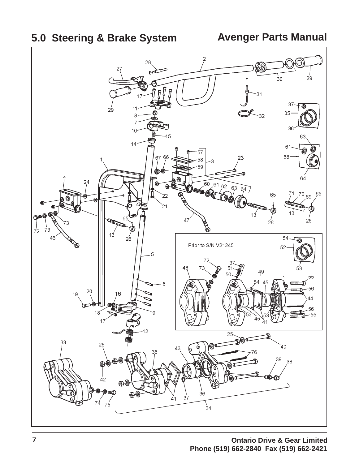### **5.0 Steering & Brake System Avenger Parts Manual**

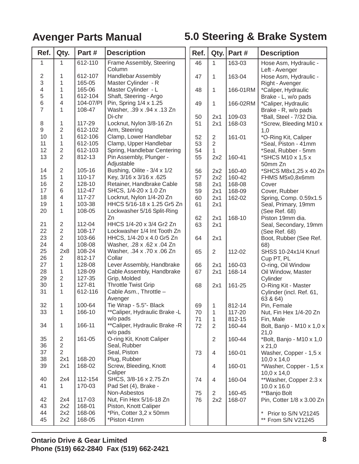### **Avenger Parts Manual 5.0 Steering & Brake System**

| Ref.           | Qty.                           | Part#            | <b>Description</b>                                     | Ref.     | Qty.           | Part #   | <b>Description</b>                      |
|----------------|--------------------------------|------------------|--------------------------------------------------------|----------|----------------|----------|-----------------------------------------|
| 1              | 1                              | 612-110          | Frame Assembly, Steering<br>Column                     | 46       | $\mathbf{1}$   | 163-03   | Hose Asm, Hydraulic -<br>Left - Avenger |
| $\overline{2}$ | 1                              | 612-107          | <b>Handlebar Assembly</b>                              | 47       | 1              | 163-04   | Hose Asm, Hydraulic -                   |
| 3              | 1                              | 165-05           | Master Cylinder - R                                    |          |                |          | Right - Avenger                         |
| 4              | 1                              | 165-06           | Master Cylinder - L                                    | 48       | 1              | 166-01RM | *Caliper, Hydraulic                     |
| 5              | 1                              | 612-104          | Shaft, Steering - Argo                                 |          |                |          | Brake - L, w/o pads                     |
| $6\phantom{a}$ | 4                              | 104-07/PI        | Pin, Spring 1/4 x 1.25                                 | 49       | 1              | 166-02RM | *Caliper, Hydraulic                     |
| $\overline{7}$ | 1                              | 108-47           | Washer, .39 x .94 x .13 Zn                             |          |                |          | Brake - R, w/o pads                     |
|                |                                |                  | Di-chr                                                 | 50       | 2x1            | 109-03   | *Ball, Steel - 7/32 Dia.                |
| 8              | 1                              | 117-29           | Locknut, Nylon 3/8-16 Zn                               | 51       | 2x1            | 168-03   | *Screw, Bleeding M10 x                  |
| 9              | 2                              | 612-102          | Arm, Steering                                          |          |                |          | 1,0                                     |
| 10             | $\mathbf{1}$                   | 612-106          | Clamp, Lower Handlebar                                 | 52       | $\mathbf{2}$   | 161-01   | *O-Ring Kit, Caliper                    |
| 11             | 1                              | 612-105          | Clamp, Upper Handlebar                                 | 53       | $\overline{2}$ |          | *Seal, Piston - 41mm                    |
| 12             | $\overline{2}$                 | 612-103          | Spring, Handlebar Centering                            | 54       | 1              |          | *Seal, Rubber - 5mm                     |
| 13             | $\overline{2}$                 | 812-13           | Pin Assembly, Plunger -                                | 55       | 2x2            | 160-41   | *SHCS M10 x 1,5 x                       |
|                |                                |                  | Adjustable                                             |          |                |          | 50mm Zn                                 |
| 14             | 2                              | 105-16           | Bushing, Oilite - 3/4 x 1/2                            | 56       | 2x2            | 160-40   | *SHCS M8x1,25 x 40 Zn                   |
| 15             | 1                              | 110-17           | Key, 3/16 x 3/16 x .625                                | 57       | 2x2            | 160-42   | FHMS M5x0,8x6mm                         |
| 16             | $\overline{2}$                 | 128-10           | Retainer, Handbrake Cable                              | 58       | 2x1            | 168-08   | Cover                                   |
| 17             | $6\phantom{1}$                 | 112-47           | SHCS, 1/4-20 x 1.0 Zn                                  | 59       | 2x1            | 168-09   | Cover, Rubber                           |
| 18             | 4                              | 117-27           | Locknut, Nylon 1/4-20 Zn                               | 60       | 2x1            | 162-02   | Spring, Comp. 0.59x1.5                  |
| 19             | $\mathbf{1}$                   | 103-38           | HHCS 5/16-18 x 1.25 Gr5 Zn                             | 61       | 2x1            |          | Seal, Primary, 19mm                     |
| 20             | 1                              | 108-05           | Lockwasher 5/16 Split-Ring                             |          |                |          | (See Ref. 68)                           |
|                |                                |                  | Zn                                                     | 62       | 2x1            | 168-10   | Piston 19mm dia.                        |
| 21             | $\overline{2}$                 | 112-04           | HHCS 1/4-20 x 3/4 Gr2 Zn                               | 63       | 2x1            |          | Seal, Secondary, 19mm                   |
| 22             | $\overline{2}$                 | 108-17           | Lockwasher 1/4 Int Tooth Zn                            |          |                |          | (See Ref. 68)                           |
| 23             | $\overline{2}$                 | 103-66           | HHCS, 1/4-20 x 4.0 Gr5 Zn                              | 64       | 2x1            |          | Boot, Rubber (See Ref.                  |
| 24             | $\overline{\mathbf{4}}$        | 108-08           | Washer, .28 x .62 x .04 Zn                             |          |                |          | 68)                                     |
| 25             | 2x8                            | 108-24           | Washer, .34 x .70 x .06 Zn                             | 65       | $\overline{2}$ | 112-02   | SHSS 10-24x1/4 Knurl                    |
| 26<br>27       | $\overline{2}$<br>$\mathbf{1}$ | 812-17<br>128-08 | Collar                                                 |          |                |          | Cup PT, PL                              |
| 28             | 1                              | 128-09           | Lever Assembly, Handbrake<br>Cable Assembly, Handbrake | 66<br>67 | 2x1            | 160-03   | O-ring, Oil Window                      |
| 29             | $\overline{2}$                 | 127-35           | Grip, Molded                                           |          | 2x1            | 168-14   | Oil Window, Master<br>Cylinder          |
| 30             | $\mathbf{1}$                   | 127-81           | <b>Throttle Twist Grip</b>                             | 68       | 2x1            | 161-25   | O-Ring Kit - Master                     |
| 31             | 1                              | 612-116          | Cable Asm., Throttle -                                 |          |                |          | Cylinder (incl. Ref. 61,                |
|                |                                |                  | Avenger                                                |          |                |          | 63 & 64)                                |
| 32             | 1                              | 100-64           | Tie Wrap - 5.5"- Black                                 | 69       | 1              | 812-14   | Pin, Female                             |
| 33             | 1                              | 166-10           | ** Caliper, Hydraulic Brake - L                        | 70       | 1              | 117-20   | Nut, Fin Hex 1/4-20 Zn                  |
|                |                                |                  | w/o pads                                               | 71       | 1              | 812-15   | Fin, Male                               |
| 34             | $\mathbf{1}$                   | 166-11           | **Caliper, Hydraulic Brake - R<br>w/o pads             | 72       | $\overline{2}$ | 160-44   | Bolt, Banjo - M10 x 1,0 x<br>21,0       |
| 35             | $\sqrt{2}$                     | 161-05           | O-ring Kit, Knott Caliper                              |          | $\overline{2}$ | 160-44   | *Bolt, Banjo - M10 x 1,0                |
| 36             | $\overline{2}$                 |                  | Seal, Rubber                                           |          |                |          | x 21,0                                  |
| 37             | $\overline{2}$                 |                  | Seal, Piston                                           | 73       | 4              | 160-01   | Washer, Copper - 1,5 x                  |
| 38             | 2x1                            | 168-20           | Plug, Rubber                                           |          |                |          | $10,0 \times 14,0$                      |
| 39             | 2x1                            | 168-02           | Screw, Bleeding, Knott                                 |          | 4              | 160-01   | *Washer, Copper - 1,5 x                 |
|                |                                |                  | Caliper                                                |          |                |          | $10,0 \times 14,0$                      |
| 40             | 2x4                            | 112-154          | SHCS, 3/8-16 x 2.75 Zn                                 | 74       | 4              | 160-04   | **Washer, Copper 2.3 x                  |
| 41             | 1                              | 170-03           | Pad Set (4), Brake -                                   |          |                |          | $10.0 \times 16.0$                      |
|                |                                |                  | Non-Asbestos                                           | 75       | $\overline{2}$ | 160-45   | **Banjo Bolt                            |
| 42             | 2x4                            | 117-03           | Nut, Fin Hex 5/16-18 Zn                                | 76       | 2x2            | 168-07   | Pin, Cotter 1/8 x 3.00 Zn               |
| 43             | 2x2                            | 168-01           | Piston, Knott Caliper                                  |          |                |          |                                         |
| 44             | 2x2                            | 168-06           | *Pin, Cotter 3,2 x 50mm                                |          |                |          | $\ast$<br>Prior to S/N V21245           |
| 45             | 2x2                            | 168-05           | *Piston 41mm                                           |          |                |          | ** From S/N V21245                      |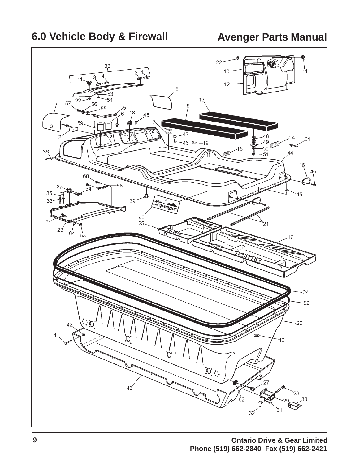### **6.0 Vehicle Body & Firewall Avenger Parts Manual**

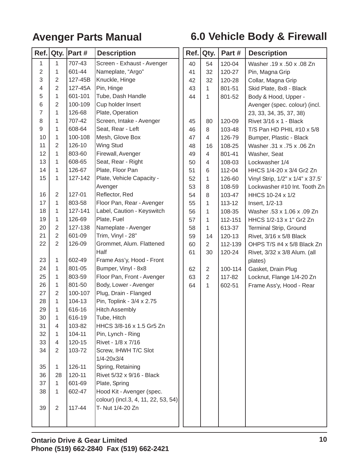### **Avenger Parts Manual 6.0 Vehicle Body & Firewall**

| Ref.             | Qty.           | Part #  | <b>Description</b>                  | Ref. | Qty.           | Part#   | <b>Description</b>               |
|------------------|----------------|---------|-------------------------------------|------|----------------|---------|----------------------------------|
| 1                | 1              | 707-43  | Screen - Exhaust - Avenger          | 40   | 54             | 120-04  | Washer .19 x .50 x .08 Zn        |
| $\overline{2}$   | 1              | 601-44  | Nameplate, "Argo"                   | 41   | 32             | 120-27  | Pin, Magna Grip                  |
| 3                | $\mathbf 2$    | 127-45B | Knuckle, Hinge                      | 42   | 32             | 120-28  | Collar, Magna Grip               |
| 4                | $\overline{2}$ | 127-45A | Pin, Hinge                          | 43   | 1              | 801-51  | Skid Plate, 8x8 - Black          |
| 5                | 1              | 601-101 | Tube, Dash Handle                   | 44   | 1              | 801-52  | Body & Hood, Upper -             |
| 6                | $\sqrt{2}$     | 100-109 | Cup holder Insert                   |      |                |         | Avenger (spec. colour) (incl.    |
| 7                | 1              | 126-68  | Plate, Operation                    |      |                |         | 23, 33, 34, 35, 37, 38)          |
| 8                | 1              | 707-42  | Screen, Intake - Avenger            | 45   | 80             | 120-09  | Rivet 3/16 x 1 - Black           |
| $\boldsymbol{9}$ | 1              | 608-64  | Seat, Rear - Left                   | 46   | 8              | 103-48  | T/S Pan HD PHIL #10 x 5/8        |
| 10               | 1              | 100-108 | Mesh, Glove Box                     | 47   | 4              | 126-79  | Bumper, Plastic - Black          |
| 11               | $\overline{2}$ | 126-10  | Wing Stud                           | 48   | 16             | 108-25  | Washer .31 x .75 x .06 Zn        |
| 12               | 1              | 803-60  | Firewall, Avenger                   | 49   | 4              | 801-41  | Washer, Seat                     |
| 13               | 1              | 608-65  | Seat, Rear - Right                  | 50   | 4              | 108-03  | Lockwasher 1/4                   |
| 14               | 1              | 126-67  | Plate, Floor Pan                    | 51   | 6              | 112-04  | HHCS 1/4-20 x 3/4 Gr2 Zn         |
| 15               | 1              | 127-142 | Plate, Vehicle Capacity -           | 52   | 1              | 126-60  | Vinyl Strip, 1/2" x 1/4" x 37.5' |
|                  |                |         | Avenger                             | 53   | 8              | 108-59  | Lockwasher #10 Int. Tooth Zn     |
| 16               | $\overline{2}$ | 127-01  | Reflector, Red                      | 54   | 8              | 103-47  | HHCS 10-24 x 1/2                 |
| 17               | 1              | 803-58  | Floor Pan, Rear - Avenger           | 55   | 1              | 113-12  | Insert, 1/2-13                   |
| 18               | 1              | 127-141 | Label, Caution - Keyswitch          | 56   | 1              | 108-35  | Washer .53 x 1.06 x .09 Zn       |
| 19               | 1              | 126-69  | Plate, Fuel                         | 57   | 1              | 112-151 | HHCS 1/2-13 x 1" Gr2 Zn          |
| 20               | $\overline{2}$ | 127-138 | Nameplate - Avenger                 | 58   | 1              | 613-37  | Terminal Strip, Ground           |
| 21               | $\overline{2}$ | 601-09  | Trim, Vinyl - 28"                   | 59   | 14             | 120-13  | Rivet, 3/16 x 5/8 Black          |
| 22               | $\overline{2}$ | 126-09  | Grommet, Alum. Flattened            | 60   | $\overline{2}$ | 112-139 | OHPS T/S #4 x 5/8 Black Zn       |
|                  |                |         | Half                                | 61   | 30             | 120-24  | Rivet, 3/32 x 3/8 Alum. (all     |
| 23               | 1              | 602-49  | Frame Ass'y, Hood - Front           |      |                |         | plates)                          |
| 24               | 1              | 801-05  | Bumper, Vinyl - 8x8                 | 62   | $\overline{2}$ | 100-114 | Gasket, Drain Plug               |
| 25               | 1              | 803-59  | Floor Pan, Front - Avenger          | 63   | $\overline{2}$ | 117-82  | Locknut, Flange 1/4-20 Zn        |
| 26               | 1              | 801-50  | Body, Lower - Avenger               | 64   | 1              | 602-51  | Frame Ass'y, Hood - Rear         |
| 27               | $\overline{2}$ | 100-107 | Plug, Drain - Flanged               |      |                |         |                                  |
| 28               | 1              | 104-13  | Pin, Toplink - 3/4 x 2.75           |      |                |         |                                  |
| 29               |                | 616-16  | Hitch Assembly                      |      |                |         |                                  |
| 30               | 1              | 616-19  | Tube, Hitch                         |      |                |         |                                  |
| 31               | $\overline{4}$ | 103-82  | HHCS 3/8-16 x 1.5 Gr5 Zn            |      |                |         |                                  |
| 32               | $\mathbf{1}$   | 104-11  | Pin, Lynch - Ring                   |      |                |         |                                  |
| 33               | $\overline{4}$ | 120-15  | Rivet - 1/8 x 7/16                  |      |                |         |                                  |
| 34               | 2              | 103-72  | Screw, IHWH T/C Slot                |      |                |         |                                  |
|                  |                |         | $1/4 - 20x3/4$                      |      |                |         |                                  |
| 35               | 1              | 126-11  | Spring, Retaining                   |      |                |         |                                  |
| 36               | 28             | 120-11  | Rivet 5/32 x 9/16 - Black           |      |                |         |                                  |
| 37               | $\mathbf{1}$   | 601-69  | Plate, Spring                       |      |                |         |                                  |
| 38               | 1              | 602-47  | Hood Kit - Avenger (spec.           |      |                |         |                                  |
|                  |                |         | colour) (incl.3, 4, 11, 22, 53, 54) |      |                |         |                                  |
| 39               | $\overline{2}$ | 117-44  | T- Nut 1/4-20 Zn                    |      |                |         |                                  |
|                  |                |         |                                     |      |                |         |                                  |
|                  |                |         |                                     |      |                |         |                                  |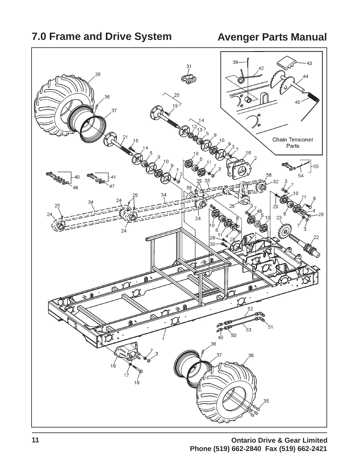**7.0 Frame and Drive System Avenger Parts Manual**

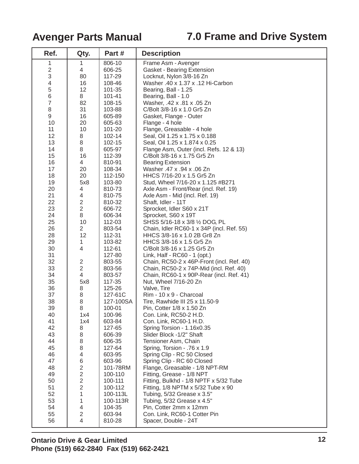### **Avenger Parts Manual 7.0 Frame and Drive System**

| Ref.           | Qty.             | Part#     | <b>Description</b>                        |
|----------------|------------------|-----------|-------------------------------------------|
| 1              | 1                | 806-10    | Frame Asm - Avenger                       |
| $\overline{c}$ | 4                | 606-25    | Gasket - Bearing Extension                |
| 3              | 80               | 117-29    | Locknut, Nylon 3/8-16 Zn                  |
| 4              | 16               | 108-46    | Washer .40 x 1.37 x .12 Hi-Carbon         |
| 5              | 12               | 101-35    | Bearing, Ball - 1.25                      |
| 6              | 8                | 101-41    | Bearing, Ball - 1.0                       |
| 7              | 82               | 108-15    | Washer, .42 x .81 x .05 Zn                |
| 8              | 31               | 103-88    | C/Bolt 3/8-16 x 1.0 Gr5 Zn                |
| 9              | 16               | 605-89    | Gasket, Flange - Outer                    |
| 10             | 20               | 605-63    | Flange - 4 hole                           |
| 11             | 10               | 101-20    | Flange, Greasable - 4 hole                |
| 12             | 8                | 102-14    | Seal, Oil 1.25 x 1.75 x 0.188             |
| 13             |                  | 102-15    | Seal, Oil 1.25 x 1.874 x 0.25             |
|                | 8                |           |                                           |
| 14             | 8                | 605-97    | Flange Asm, Outer (incl. Refs. 12 & 13)   |
| 15             | 16               | 112-39    | C/Bolt 3/8-16 x 1.75 Gr5 Zn               |
| 16             | 4                | 810-91    | <b>Bearing Extension</b>                  |
| 17             | 20               | 108-34    | Washer .47 x .94 x .06 Zn                 |
| 18             | 20               | 112-150   | HHCS 7/16-20 x 1.5 Gr5 Zn                 |
| 19             | 5x8              | 103-80    | Stud, Wheel 7/16-20 x 1.125 #B271         |
| 20             | 4                | 810-73    | Axle Asm - Front/Rear (incl. Ref. 19)     |
| 21             | 4                | 810-75    | Axle Asm - Mid (incl. Ref. 19)            |
| 22             | $\boldsymbol{2}$ | 810-32    | Shaft, Idler - 11T                        |
| 23             | $\overline{2}$   | 606-72    | Sprocket, Idler S60 x 21T                 |
| 24             | 8                | 606-34    | Sprocket, S60 x 19T                       |
| 25             | 10               | 112-03    | SHSS 5/16-18 x 3/8 1/2 DOG, PL            |
| 26             | $\overline{2}$   | 803-54    | Chain, Idler RC60-1 x 34P (incl. Ref. 55) |
| 28             | 12               | 112-31    | HHCS 3/8-16 x 1.0 2B Gr8 Zn               |
| 29             | 1                | 103-82    | HHCS 3/8-16 x 1.5 Gr5 Zn                  |
| 30             | 4                | 112-61    | C/Bolt 3/8-16 x 1.25 Gr5 Zn               |
| 31             |                  | 127-80    | Link, Half - RC60 - 1 (opt.)              |
| 32             | $\overline{c}$   | 803-55    | Chain, RC50-2 x 46P-Front (incl. Ref. 40) |
| 33             | $\overline{2}$   | 803-56    | Chain, RC50-2 x 74P-Mid (incl. Ref. 40)   |
| 34             | 4                | 803-57    | Chain, RC60-1 x 90P-Rear (incl. Ref. 41)  |
| 35             | 5x8              | 117-35    | Nut, Wheel 7/16-20 Zn                     |
| 36             | 8                | 125-26    | Valve, Tire                               |
| 37             | 8                | 127-61C   | Rim - 10 x 9 - Charcoal                   |
| 38             | 8                | 127-100SA | Tire, Rawhide III 25 x 11.50-9            |
| 39             | 8                | 100-01    | Pin, Cotter 1/8 x 1.50 Zn                 |
| 40             | 1x4              | 100-96    | Con. Link, RC50-2 H.D.                    |
| 41             | 1x4              | 603-84    | Con. Link, RC60-1 H.D.                    |
| 42             | 8                | 127-65    | Spring Torsion - 1.16x0.35                |
| 43             | 8                | 606-39    | Slider Block -1/2" Shaft                  |
| 44             | 8                | 606-35    | Tensioner Asm, Chain                      |
| 45             | 8                | 127-64    | Spring, Torsion - .76 x 1.9               |
| 46             | $\overline{4}$   | 603-95    | Spring Clip - RC 50 Closed                |
| 47             | 6                | 603-96    | Spring Clip - RC 60 Closed                |
| 48             | $\overline{2}$   | 101-78RM  | Flange, Greasable - 1/8 NPT-RM            |
| 49             | $\overline{2}$   | 100-110   | Fitting, Grease - 1/8 NPT                 |
| 50             | $\overline{2}$   | 100-111   | Fitting, Bulkhd - 1/8 NPTF x 5/32 Tube    |
| 51             | $\overline{c}$   | 100-112   | Fitting, $1/8$ NPTM x $5/32$ Tube x 90    |
| 52             | $\mathbf{1}$     | 100-113L  | Tubing, 5/32 Grease x 3.5"                |
| 53             | $\mathbf{1}$     | 100-113R  | Tubing, 5/32 Grease x 4.5"                |
| 54             | $\overline{4}$   | 104-35    | Pin, Cotter 2mm x 12mm                    |
| 55             | $\overline{2}$   | 603-94    | Con. Link, RC60-1 Cotter Pin              |
| 56             | $\overline{4}$   | 810-28    | Spacer, Double - 24T                      |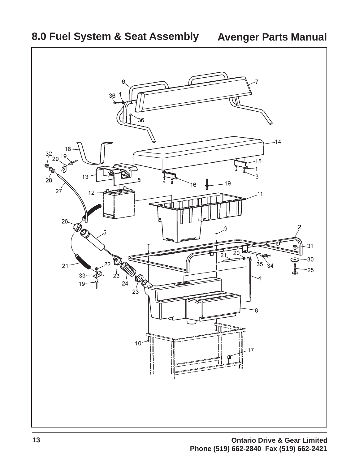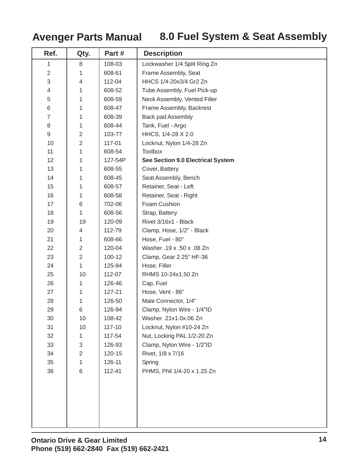### **Avenger Parts Manual 8.0 Fuel System & Seat Assembly**

| Ref.             | Qty.           | Part#   | <b>Description</b>                |
|------------------|----------------|---------|-----------------------------------|
| 1                | 8              | 108-03  | Lockwasher 1/4 Split Ring Zn      |
| $\overline{2}$   | 1              | 608-61  | Frame Assembly, Seat              |
| 3                | 4              | 112-04  | HHCS 1/4-20x3/4 Gr2 Zn            |
| 4                | 1              | 608-52  | Tube Assembly, Fuel Pick-up       |
| 5                | 1              | 608-59  | Neck Assembly, Vented Filler      |
| 6                | 1              | 608-47  | Frame Assembly, Backrest          |
| $\boldsymbol{7}$ | 1              | 608-39  | Back pad Assembly                 |
| 8                | 1              | 608-44  | Tank, Fuel - Argo                 |
| 9                | 2              | 103-77  | HHCS, 1/4-28 X 2.0                |
| 10               | 2              | 117-01  | Locknut, Nylon 1/4-28 Zn          |
| 11               | 1              | 608-54  | <b>Toolbox</b>                    |
| 12               | 1              | 127-54P | See Section 9.0 Electrical System |
| 13               | 1              | 608-55  | Cover, Battery                    |
| 14               | 1              | 608-45  | Seat Assembly, Bench              |
| 15               | 1              | 608-57  | Retainer, Seat - Left             |
| 16               | 1              | 608-58  | Retainer, Seat - Right            |
| 17               | 6              | 702-06  | Foam Cushion                      |
| 18               | 1              | 608-56  | Strap, Battery                    |
| 19               | 19             | 120-09  | Rivet 3/16x1 - Black              |
| 20               | 4              | 112-79  | Clamp, Hose, 1/2" - Black         |
| 21               | 1              | 608-66  | Hose, Fuel - 80"                  |
| 22               | 2              | 120-04  | Washer .19 x .50 x .08 Zn         |
| 23               | $\overline{2}$ | 100-12  | Clamp, Gear 2.25" HF-36           |
| 24               | 1              | 125-94  | Hose, Filler                      |
| 25               | 10             | 112-07  | RHMS 10-24x1.50 Zn                |
| 26               | 1              | 126-46  | Cap, Fuel                         |
| 27               | 1              | 127-21  | Hose, Vent - 86"                  |
| 28               | 1              | 126-50  | Male Connector, 1/4"              |
| 29               | 6              | 126-94  | Clamp, Nylon Wire - 1/4"ID        |
| 30               | 10             | 108-42  | Washer .21x1.0x.06 Zn             |
| 31               | 10             | 117-10  | Locknut, Nylon #10-24 Zn          |
| 32               | 1.             | 117-54  | Nut, Locking PAL 1/2-20 Zn        |
| 33               | 3              | 126-93  | Clamp, Nylon Wire - 1/2"ID        |
| 34               | 2              | 120-15  | Rivet, 1/8 x 7/16                 |
| 35               | 1              | 126-11  | Spring                            |
| 36               | 6              | 112-41  | PHMS, Phil 1/4-20 x 1.25 Zn       |
|                  |                |         |                                   |
|                  |                |         |                                   |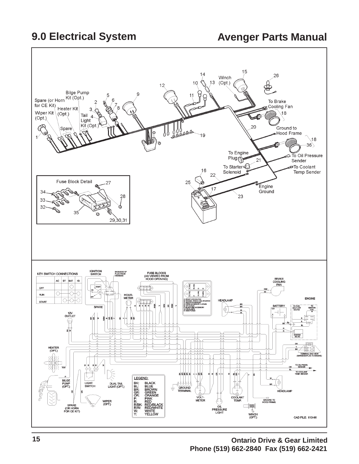#### **9.0 Electrical System Avenger Parts Manual**

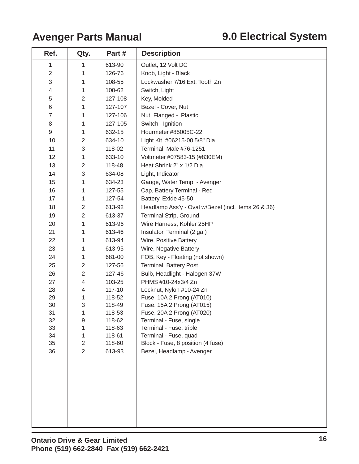### **Avenger Parts Manual 9.0 Electrical System**

| Ref.                      | Qty.           | Part#            | <b>Description</b>                                  |
|---------------------------|----------------|------------------|-----------------------------------------------------|
| 1                         | 1              | 613-90           | Outlet, 12 Volt DC                                  |
| $\sqrt{2}$                | 1              | 126-76           | Knob, Light - Black                                 |
| $\ensuremath{\mathsf{3}}$ | 1              | 108-55           | Lockwasher 7/16 Ext. Tooth Zn                       |
| 4                         | 1              | 100-62           | Switch, Light                                       |
| 5                         | $\overline{2}$ | 127-108          | Key, Molded                                         |
| 6                         | 1              | 127-107          | Bezel - Cover, Nut                                  |
| 7                         | 1              | 127-106          | Nut, Flanged - Plastic                              |
| 8                         | 1              | 127-105          | Switch - Ignition                                   |
| 9                         | 1              | 632-15           | Hourmeter #85005C-22                                |
| 10                        | $\overline{2}$ | 634-10           | Light Kit, #06215-00 5/8" Dia.                      |
| 11                        | 3              | 118-02           | Terminal, Male #76-1251                             |
| 12                        | 1              | 633-10           | Voltmeter #07583-15 (#830EM)                        |
| 13                        | $\overline{2}$ | 118-48           | Heat Shrink 2" x 1/2 Dia.                           |
| 14                        | 3              | 634-08           | Light, Indicator                                    |
| 15                        | 1              | 634-23           | Gauge, Water Temp. - Avenger                        |
| 16                        | 1              | 127-55           | Cap, Battery Terminal - Red                         |
| 17                        | 1              | 127-54           | Battery, Exide 45-50                                |
| 18                        | $\overline{2}$ | 613-92           | Headlamp Ass'y - Oval w/Bezel (incl. items 26 & 36) |
| 19                        | $\overline{2}$ | 613-37           | Terminal Strip, Ground                              |
| 20                        | 1              | 613-96           | Wire Harness, Kohler 25HP                           |
| 21                        | 1              | 613-46           | Insulator, Terminal (2 ga.)                         |
| 22                        | 1              | 613-94           | Wire, Positive Battery                              |
| 23                        | 1              | 613-95           | Wire, Negative Battery                              |
| 24                        | 1              | 681-00           | FOB, Key - Floating (not shown)                     |
| 25                        | $\overline{2}$ | 127-56           | <b>Terminal, Battery Post</b>                       |
| 26                        | $\overline{2}$ | 127-46           | Bulb, Headlight - Halogen 37W                       |
| 27                        | 4              | 103-25           | PHMS #10-24x3/4 Zn                                  |
| 28                        | 4              | 117-10           | Locknut, Nylon #10-24 Zn                            |
| 29                        | 1              | 118-52           | Fuse, 10A 2 Prong (AT010)                           |
| 30                        | 3              | 118-49           | Fuse, 15A 2 Prong (AT015)                           |
| 31                        | $\mathbf{1}$   | 118-53           | Fuse, 20A 2 Prong (AT020)                           |
| 32<br>33                  | 9<br>1         | 118-62<br>118-63 | Terminal - Fuse, single<br>Terminal - Fuse, triple  |
| 34                        | 1              | 118-61           | Terminal - Fuse, quad                               |
| 35                        | $\overline{2}$ | 118-60           | Block - Fuse, 8 position (4 fuse)                   |
| 36                        | $\overline{2}$ | 613-93           | Bezel, Headlamp - Avenger                           |
|                           |                |                  |                                                     |
|                           |                |                  |                                                     |
|                           |                |                  |                                                     |
|                           |                |                  |                                                     |
|                           |                |                  |                                                     |
|                           |                |                  |                                                     |
|                           |                |                  |                                                     |
|                           |                |                  |                                                     |
|                           |                |                  |                                                     |